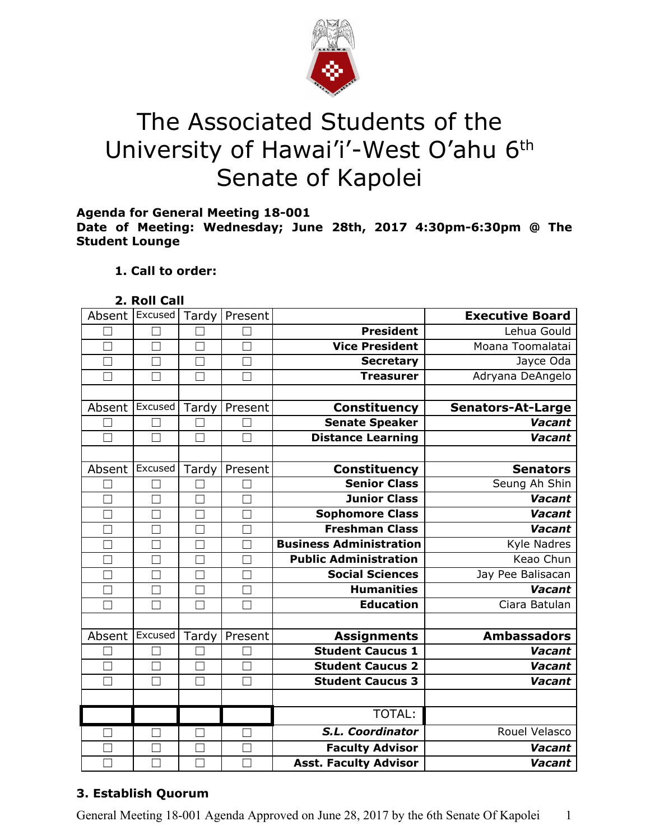

# The Associated Students of the University of Hawai'i'-West O'ahu 6<sup>th</sup> Senate of Kapolei

**Agenda for General Meeting 18-001**

**Date of Meeting: Wednesday; June 28th, 2017 4:30pm-6:30pm @ The Student Lounge**

## **1. Call to order:**

| Roll ( | Call |  |
|--------|------|--|
|        |      |  |

| Absent Excused   |                   | Tardy                    | Present |                                | <b>Executive Board</b>   |
|------------------|-------------------|--------------------------|---------|--------------------------------|--------------------------|
|                  |                   |                          |         | <b>President</b>               | Lehua Gould              |
| П                | $\Box$            | ×                        | П       | <b>Vice President</b>          | Moana Toomalatai         |
|                  |                   | ×                        |         | <b>Secretary</b>               | Jayce Oda                |
| □                | П                 | П                        | П       | <b>Treasurer</b>               | Adryana DeAngelo         |
|                  |                   |                          |         |                                |                          |
| Absent           | Excused           | Tardy                    | Present | <b>Constituency</b>            | <b>Senators-At-Large</b> |
|                  |                   |                          |         | <b>Senate Speaker</b>          | Vacant                   |
| $\Box$           | П                 | П                        | $\Box$  | <b>Distance Learning</b>       | <b>Vacant</b>            |
|                  |                   |                          |         |                                |                          |
| Absent           | Excused           | Tardy                    | Present | <b>Constituency</b>            | <b>Senators</b>          |
|                  |                   |                          |         | <b>Senior Class</b>            | Seung Ah Shin            |
|                  |                   |                          |         | <b>Junior Class</b>            | <b>Vacant</b>            |
|                  |                   | $\Box$                   |         | <b>Sophomore Class</b>         | Vacant                   |
| Г                | П                 | П                        | Г       | <b>Freshman Class</b>          | Vacant                   |
|                  | $\vert \ \ \vert$ |                          |         | <b>Business Administration</b> | Kyle Nadres              |
| $\Box$           | П                 | $\overline{\phantom{0}}$ | П       | <b>Public Administration</b>   | Keao Chun                |
| M                | $\mathbf{I}$      | ×                        |         | <b>Social Sciences</b>         | Jay Pee Balisacan        |
|                  |                   |                          |         | <b>Humanities</b>              | Vacant                   |
|                  |                   |                          |         | <b>Education</b>               | Ciara Batulan            |
|                  |                   |                          |         |                                |                          |
| Absent   Excused |                   | Tardy                    | Present | <b>Assignments</b>             | <b>Ambassadors</b>       |
|                  |                   |                          |         | <b>Student Caucus 1</b>        | <b>Vacant</b>            |
| П                | П                 | $\Box$                   | $\Box$  | <b>Student Caucus 2</b>        | Vacant                   |
| П                | $\vert \ \ \vert$ | ×                        | $\Box$  | <b>Student Caucus 3</b>        | Vacant                   |
|                  |                   |                          |         |                                |                          |
|                  |                   |                          |         | TOTAL:                         |                          |
|                  |                   |                          |         | S.L. Coordinator               | Rouel Velasco            |
|                  | П                 | $\mathbf{L}$             | П       | <b>Faculty Advisor</b>         | <b>Vacant</b>            |
|                  |                   |                          |         | <b>Asst. Faculty Advisor</b>   | Vacant                   |

# **3. Establish Quorum**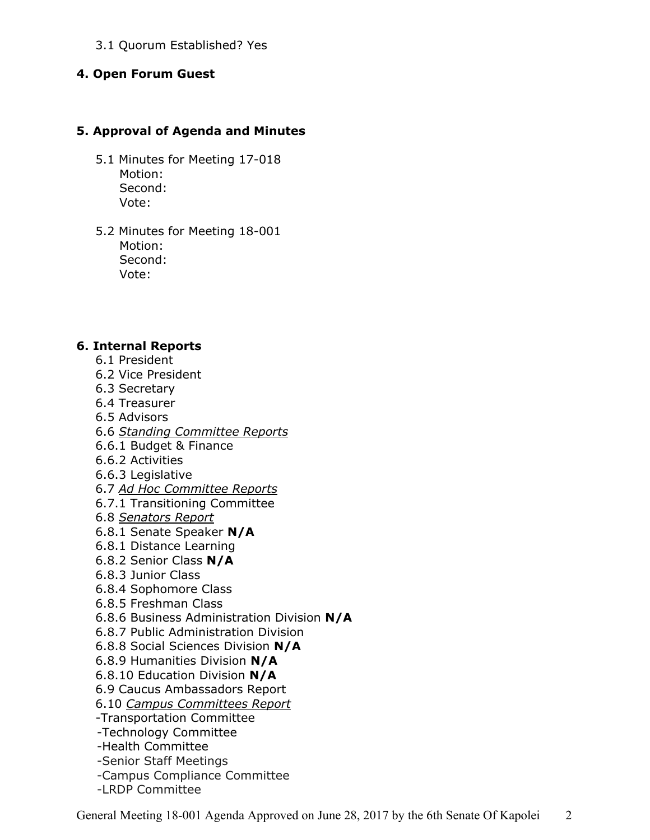3.1 Quorum Established? Yes

### **4. Open Forum Guest**

#### **5. Approval of Agenda and Minutes**

- 5.1 Minutes for Meeting 17-018 Motion: Second: Vote:
- 5.2 Minutes for Meeting 18-001 Motion: Second: Vote:

#### **6. Internal Reports**

- 6.1 President
- 6.2 Vice President
- 6.3 Secretary
- 6.4 Treasurer
- 6.5 Advisors
- 6.6 *Standing Committee Reports*
- 6.6.1 Budget & Finance
- 6.6.2 Activities
- 6.6.3 Legislative
- 6.7 *Ad Hoc Committee Reports*
- 6.7.1 Transitioning Committee
- 6.8 *Senators Report*
- 6.8.1 Senate Speaker **N/A**
- 6.8.1 Distance Learning
- 6.8.2 Senior Class **N/A**
- 6.8.3 Junior Class
- 6.8.4 Sophomore Class
- 6.8.5 Freshman Class
- 6.8.6 Business Administration Division **N/A**
- 6.8.7 Public Administration Division
- 6.8.8 Social Sciences Division **N/A**
- 6.8.9 Humanities Division **N/A**
- 6.8.10 Education Division **N/A**
- 6.9 Caucus Ambassadors Report
- 6.10 *Campus Committees Report*
- -Transportation Committee
- -Technology Committee
- -Health Committee
- -Senior Staff Meetings
- -Campus Compliance Committee
- -LRDP Committee